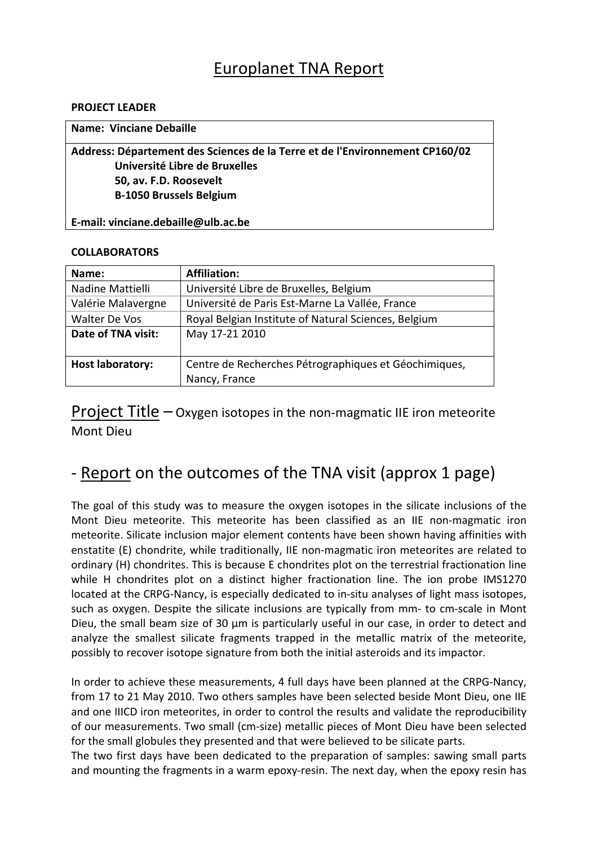# Europlanet TNA Report

#### **PROJECT LEADER**

| <b>Name: Vinciane Debaille</b>                                               |
|------------------------------------------------------------------------------|
| Address: Département des Sciences de la Terre et de l'Environnement CP160/02 |
| Université Libre de Bruxelles                                                |
| 50, av. F.D. Roosevelt                                                       |
| <b>B-1050 Brussels Belgium</b>                                               |
|                                                                              |

### **COLLABORATORS**

**E‐mail: vinciane.debaille@ulb.ac.be**

| Name:                   | <b>Affiliation:</b>                                   |
|-------------------------|-------------------------------------------------------|
|                         |                                                       |
| Nadine Mattielli        | Université Libre de Bruxelles, Belgium                |
| Valérie Malavergne      | Université de Paris Est-Marne La Vallée, France       |
| Walter De Vos           | Royal Belgian Institute of Natural Sciences, Belgium  |
| Date of TNA visit:      | May 17-21 2010                                        |
|                         |                                                       |
| <b>Host laboratory:</b> | Centre de Recherches Pétrographiques et Géochimiques, |
|                         | Nancy, France                                         |

**Project Title – Oxygen isotopes in the non-magmatic IIE iron meteorite** Mont Dieu

# ‐ Report on the outcomes of the TNA visit (approx 1 page)

The goal of this study was to measure the oxygen isotopes in the silicate inclusions of the Mont Dieu meteorite. This meteorite has been classified as an IIE non-magmatic iron meteorite. Silicate inclusion major element contents have been shown having affinities with enstatite (E) chondrite, while traditionally, IIE non-magmatic iron meteorites are related to ordinary (H) chondrites. This is because E chondrites plot on the terrestrial fractionation line while H chondrites plot on a distinct higher fractionation line. The ion probe IMS1270 located at the CRPG‐Nancy, is especially dedicated to in‐situ analyses of light mass isotopes, such as oxygen. Despite the silicate inclusions are typically from mm- to cm-scale in Mont Dieu, the small beam size of 30 µm is particularly useful in our case, in order to detect and analyze the smallest silicate fragments trapped in the metallic matrix of the meteorite, possibly to recover isotope signature from both the initial asteroids and its impactor.

In order to achieve these measurements, 4 full days have been planned at the CRPG‐Nancy, from 17 to 21 May 2010. Two others samples have been selected beside Mont Dieu, one IIE and one IIICD iron meteorites, in order to control the results and validate the reproducibility of our measurements. Two small (cm‐size) metallic pieces of Mont Dieu have been selected for the small globules they presented and that were believed to be silicate parts.

The two first days have been dedicated to the preparation of samples: sawing small parts and mounting the fragments in a warm epoxy-resin. The next day, when the epoxy resin has